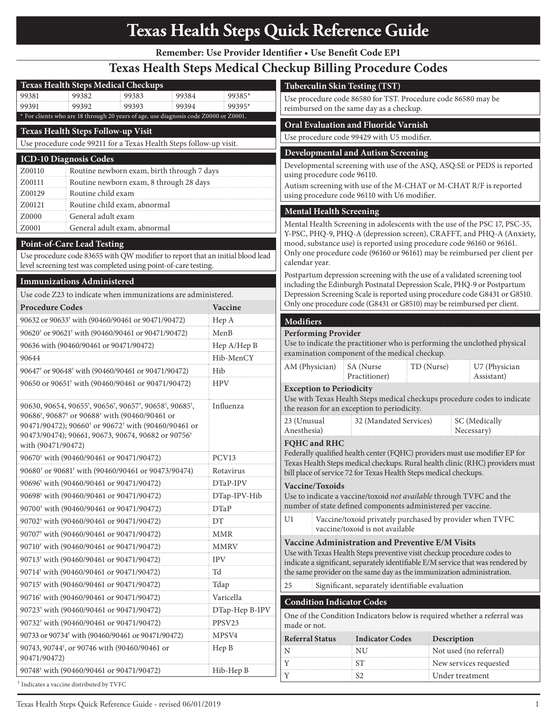## **Texas Health Steps Quick Reference Guide**

**Remember: Use Provider Identifier • Use Benefit Code EP1**

## **Texas Health Steps Medical Checkup Billing Procedure Codes**

| <b>Texas Health Steps Medical Checkups</b>                                                                                                        |                                      | <b>Tuberculin Skin Testing (TST)</b>                                                                                                                                                                                             |                                                                   |                                                                               |
|---------------------------------------------------------------------------------------------------------------------------------------------------|--------------------------------------|----------------------------------------------------------------------------------------------------------------------------------------------------------------------------------------------------------------------------------|-------------------------------------------------------------------|-------------------------------------------------------------------------------|
| 99381<br>99382<br>99383<br>99384                                                                                                                  | 99385*                               |                                                                                                                                                                                                                                  | Use procedure code 86580 for TST. Procedure code 86580 may be     |                                                                               |
| 99391<br>99392<br>99393<br>99394                                                                                                                  | 99395*                               |                                                                                                                                                                                                                                  | reimbursed on the same day as a checkup.                          |                                                                               |
| * For clients who are 18 through 20 years of age, use diagnosis code Z0000 or Z0001.                                                              | Oral Evaluation and Fluoride Varnish |                                                                                                                                                                                                                                  |                                                                   |                                                                               |
| Texas Health Steps Follow-up Visit                                                                                                                |                                      | Use procedure code 99429 with U5 modifier.                                                                                                                                                                                       |                                                                   |                                                                               |
| Use procedure code 99211 for a Texas Health Steps follow-up visit.                                                                                |                                      | <b>Developmental and Autism Screening</b>                                                                                                                                                                                        |                                                                   |                                                                               |
| ICD-10 Diagnosis Codes                                                                                                                            |                                      | Developmental screening with use of the ASQ, ASQ:SE or PEDS is reported                                                                                                                                                          |                                                                   |                                                                               |
| Z00110<br>Routine newborn exam, birth through 7 days                                                                                              |                                      | using procedure code 96110.                                                                                                                                                                                                      |                                                                   |                                                                               |
| Routine newborn exam, 8 through 28 days<br>Z00111                                                                                                 |                                      | Autism screening with use of the M-CHAT or M-CHAT R/F is reported                                                                                                                                                                |                                                                   |                                                                               |
| Routine child exam<br>Z00129<br>Routine child exam, abnormal<br>Z00121                                                                            |                                      | using procedure code 96110 with U6 modifier.                                                                                                                                                                                     |                                                                   |                                                                               |
| Z0000<br>General adult exam                                                                                                                       |                                      | <b>Mental Health Screening</b>                                                                                                                                                                                                   |                                                                   |                                                                               |
| Z0001<br>General adult exam, abnormal                                                                                                             |                                      | Mental Health Screening in adolescents with the use of the PSC 17, PSC-35,<br>Y-PSC, PHQ-9, PHQ-A (depression screen), CRAFFT, and PHQ-A (Anxiety,<br>mood, substance use) is reported using procedure code 96160 or 96161.      |                                                                   |                                                                               |
|                                                                                                                                                   |                                      |                                                                                                                                                                                                                                  |                                                                   |                                                                               |
| <b>Point-of-Care Lead Testing</b>                                                                                                                 |                                      |                                                                                                                                                                                                                                  |                                                                   |                                                                               |
| Use procedure code 83655 with QW modifier to report that an initial blood lead<br>level screening test was completed using point-of-care testing. |                                      | Only one procedure code (96160 or 96161) may be reimbursed per client per<br>calendar year.<br>Postpartum depression screening with the use of a validated screening tool                                                        |                                                                   |                                                                               |
| <b>Immunizations Administered</b>                                                                                                                 |                                      |                                                                                                                                                                                                                                  |                                                                   |                                                                               |
| Use code Z23 to indicate when immunizations are administered.                                                                                     |                                      | including the Edinburgh Postnatal Depression Scale, PHQ-9 or Postpartum<br>Depression Screening Scale is reported using procedure code G8431 or G8510.<br>Only one procedure code (G8431 or G8510) may be reimbursed per client. |                                                                   |                                                                               |
| <b>Procedure Codes</b>                                                                                                                            | Vaccine                              |                                                                                                                                                                                                                                  |                                                                   |                                                                               |
| 90632 or 90633 <sup>†</sup> with (90460/90461 or 90471/90472)                                                                                     | Hep A                                | <b>Modifiers</b>                                                                                                                                                                                                                 |                                                                   |                                                                               |
| 90620 <sup>+</sup> or 90621 <sup>+</sup> with (90460/90461 or 90471/90472)                                                                        | MenB                                 | <b>Performing Provider</b>                                                                                                                                                                                                       |                                                                   |                                                                               |
| 90636 with (90460/90461 or 90471/90472)                                                                                                           | Hep A/Hep B                          | Use to indicate the practitioner who is performing the unclothed physical                                                                                                                                                        |                                                                   |                                                                               |
| 90644                                                                                                                                             | Hib-MenCY                            |                                                                                                                                                                                                                                  | examination component of the medical checkup.                     |                                                                               |
| 90647 <sup>t</sup> or 90648 <sup>t</sup> with (90460/90461 or 90471/90472)                                                                        | Hib                                  | AM (Physician)                                                                                                                                                                                                                   | SA (Nurse)                                                        | U7 (Physician<br>TD (Nurse)                                                   |
| 90650 or 90651 <sup>†</sup> with (90460/90461 or 90471/90472)                                                                                     | <b>HPV</b>                           |                                                                                                                                                                                                                                  | Practitioner)                                                     | Assistant)                                                                    |
|                                                                                                                                                   |                                      | <b>Exception to Periodicity</b>                                                                                                                                                                                                  |                                                                   |                                                                               |
| 90630, 90654, 90655 <sup>†</sup> , 90656 <sup>†</sup> , 90657 <sup>†</sup> , 90658 <sup>†</sup> , 90685 <sup>†</sup> ,                            | Influenza                            | Use with Texas Health Steps medical checkups procedure codes to indicate<br>the reason for an exception to periodicity.                                                                                                          |                                                                   |                                                                               |
| 90686 <sup>†</sup> , 90687 <sup>†</sup> or 90688 <sup>†</sup> with (90460/90461 or                                                                |                                      | 23 (Unusual                                                                                                                                                                                                                      | 32 (Mandated Services)                                            | SC (Medically                                                                 |
| 90471/90472); 90660 <sup>+</sup> or 90672 <sup>+</sup> with (90460/90461 or<br>90473/90474); 90661, 90673, 90674, 90682 or 90756 <sup>†</sup>     |                                      | Anesthesia)                                                                                                                                                                                                                      |                                                                   | Necessary)                                                                    |
| with (90471/90472)                                                                                                                                |                                      | <b>FQHC</b> and RHC                                                                                                                                                                                                              |                                                                   |                                                                               |
| 90670 <sup>+</sup> with (90460/90461 or 90471/90472)                                                                                              | PCV13                                |                                                                                                                                                                                                                                  |                                                                   | Federally qualified health center (FQHC) providers must use modifier EP for   |
| 90680 <sup>†</sup> or 90681 <sup>†</sup> with (90460/90461 or 90473/90474)                                                                        | Rotavirus                            |                                                                                                                                                                                                                                  | bill place of service 72 for Texas Health Steps medical checkups. | Texas Health Steps medical checkups. Rural health clinic (RHC) providers must |
| 90696 <sup>†</sup> with (90460/90461 or 90471/90472)                                                                                              | DTaP-IPV                             |                                                                                                                                                                                                                                  |                                                                   |                                                                               |
| 90698 <sup>+</sup> with (90460/90461 or 90471/90472)                                                                                              | DTap-IPV-Hib                         | Vaccine/Toxoids                                                                                                                                                                                                                  |                                                                   | Use to indicate a vaccine/toxoid not available through TVFC and the           |
| 90700 <sup>†</sup> with (90460/90461 or 90471/90472)                                                                                              | DTaP                                 |                                                                                                                                                                                                                                  | number of state defined components administered per vaccine.      |                                                                               |
| 90702 <sup>†</sup> with (90460/90461 or 90471/90472)                                                                                              | DΤ                                   | U1                                                                                                                                                                                                                               |                                                                   | Vaccine/toxoid privately purchased by provider when TVFC                      |
| 90707 <sup>†</sup> with (90460/90461 or 90471/90472)                                                                                              | MMR                                  |                                                                                                                                                                                                                                  | vaccine/toxoid is not available                                   |                                                                               |
| 90710 <sup>†</sup> with (90460/90461 or 90471/90472)                                                                                              | MMRV                                 | Vaccine Administration and Preventive E/M Visits<br>Use with Texas Health Steps preventive visit checkup procedure codes to                                                                                                      |                                                                   |                                                                               |
|                                                                                                                                                   | <b>IPV</b>                           |                                                                                                                                                                                                                                  |                                                                   |                                                                               |
| 90713 <sup>†</sup> with (90460/90461 or 90471/90472)<br>90714 <sup>†</sup> with (90460/90461 or 90471/90472)                                      | Td                                   | indicate a significant, separately identifiable E/M service that was rendered by                                                                                                                                                 |                                                                   |                                                                               |
|                                                                                                                                                   |                                      | the same provider on the same day as the immunization administration.                                                                                                                                                            |                                                                   |                                                                               |
| 90715 <sup>†</sup> with (90460/90461 or 90471/90472)                                                                                              | Tdap                                 | 25                                                                                                                                                                                                                               | Significant, separately identifiable evaluation                   |                                                                               |
| 90716 <sup>†</sup> with (90460/90461 or 90471/90472)                                                                                              | Varicella                            | <b>Condition Indicator Codes</b>                                                                                                                                                                                                 |                                                                   |                                                                               |
| 90723 <sup>†</sup> with (90460/90461 or 90471/90472)                                                                                              | DTap-Hep B-IPV                       | One of the Condition Indicators below is required whether a referral was<br>made or not.                                                                                                                                         |                                                                   |                                                                               |
| 90732† with (90460/90461 or 90471/90472)                                                                                                          | PPSV23                               |                                                                                                                                                                                                                                  |                                                                   |                                                                               |
| 90733 or 90734 <sup>†</sup> with (90460/90461 or 90471/90472)                                                                                     | MPSV4                                | <b>Referral Status</b>                                                                                                                                                                                                           | <b>Indicator Codes</b>                                            | Description                                                                   |
| 90743, 90744 <sup>†</sup> , or 90746 with (90460/90461 or<br>90471/90472)                                                                         | $\text{Hep B}$                       | N                                                                                                                                                                                                                                | NU                                                                | Not used (no referral)                                                        |
| 90748 <sup>†</sup> with (90460/90461 or 90471/90472)                                                                                              | Hib-Hep B                            | Y                                                                                                                                                                                                                                | ST                                                                | New services requested                                                        |
| Indicates a vaccine distributed by TVFC                                                                                                           |                                      | Y                                                                                                                                                                                                                                | S <sub>2</sub>                                                    | Under treatment                                                               |